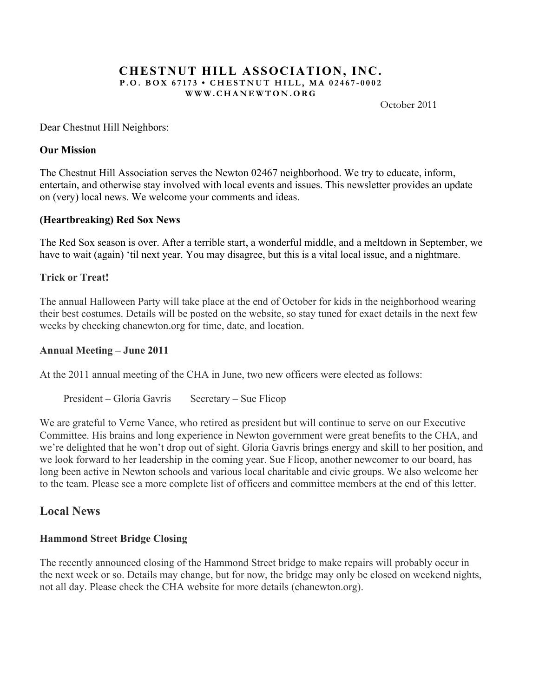#### **CHESTNUT HILL ASSOCIATION, INC. P.O. BOX 67173 • CHESTNUT HILL, MA 02467 - 0002 WWW.CHANEWTON.ORG**

October 2011

Dear Chestnut Hill Neighbors:

### **Our Mission**

The Chestnut Hill Association serves the Newton 02467 neighborhood. We try to educate, inform, entertain, and otherwise stay involved with local events and issues. This newsletter provides an update on (very) local news. We welcome your comments and ideas.

### **(Heartbreaking) Red Sox News**

The Red Sox season is over. After a terrible start, a wonderful middle, and a meltdown in September, we have to wait (again) 'til next year. You may disagree, but this is a vital local issue, and a nightmare.

### **Trick or Treat!**

The annual Halloween Party will take place at the end of October for kids in the neighborhood wearing their best costumes. Details will be posted on the website, so stay tuned for exact details in the next few weeks by checking chanewton.org for time, date, and location.

### **Annual Meeting – June 2011**

At the 2011 annual meeting of the CHA in June, two new officers were elected as follows:

President – Gloria Gavris Secretary – Sue Flicop

We are grateful to Verne Vance, who retired as president but will continue to serve on our Executive Committee. His brains and long experience in Newton government were great benefits to the CHA, and we're delighted that he won't drop out of sight. Gloria Gavris brings energy and skill to her position, and we look forward to her leadership in the coming year. Sue Flicop, another newcomer to our board, has long been active in Newton schools and various local charitable and civic groups. We also welcome her to the team. Please see a more complete list of officers and committee members at the end of this letter.

# **Local News**

### **Hammond Street Bridge Closing**

The recently announced closing of the Hammond Street bridge to make repairs will probably occur in the next week or so. Details may change, but for now, the bridge may only be closed on weekend nights, not all day. Please check the CHA website for more details (chanewton.org).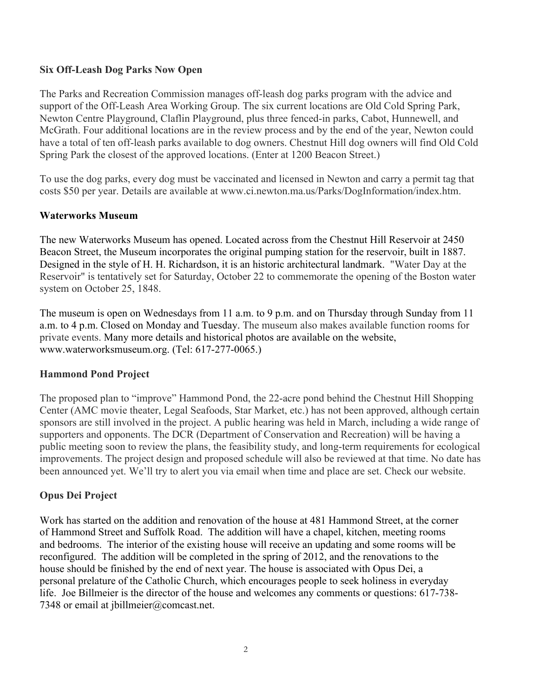### **Six Off-Leash Dog Parks Now Open**

The Parks and Recreation Commission manages off-leash dog parks program with the advice and support of the Off-Leash Area Working Group. The six current locations are Old Cold Spring Park, Newton Centre Playground, Claflin Playground, plus three fenced-in parks, Cabot, Hunnewell, and McGrath. Four additional locations are in the review process and by the end of the year, Newton could have a total of ten off-leash parks available to dog owners. Chestnut Hill dog owners will find Old Cold Spring Park the closest of the approved locations. (Enter at 1200 Beacon Street.)

To use the dog parks, every dog must be vaccinated and licensed in Newton and carry a permit tag that costs \$50 per year. Details are available at www.ci.newton.ma.us/Parks/DogInformation/index.htm.

# **Waterworks Museum**

The new Waterworks Museum has opened. Located across from the Chestnut Hill Reservoir at 2450 Beacon Street, the Museum incorporates the original pumping station for the reservoir, built in 1887. Designed in the style of H. H. Richardson, it is an historic architectural landmark. "Water Day at the Reservoir" is tentatively set for Saturday, October 22 to commemorate the opening of the Boston water system on October 25, 1848.

The museum is open on Wednesdays from 11 a.m. to 9 p.m. and on Thursday through Sunday from 11 a.m. to 4 p.m. Closed on Monday and Tuesday. The museum also makes available function rooms for private events. Many more details and historical photos are available on the website, www.waterworksmuseum.org. (Tel: 617-277-0065.)

# **Hammond Pond Project**

The proposed plan to "improve" Hammond Pond, the 22-acre pond behind the Chestnut Hill Shopping Center (AMC movie theater, Legal Seafoods, Star Market, etc.) has not been approved, although certain sponsors are still involved in the project. A public hearing was held in March, including a wide range of supporters and opponents. The DCR (Department of Conservation and Recreation) will be having a public meeting soon to review the plans, the feasibility study, and long-term requirements for ecological improvements. The project design and proposed schedule will also be reviewed at that time. No date has been announced yet. We'll try to alert you via email when time and place are set. Check our website.

# **Opus Dei Project**

Work has started on the addition and renovation of the house at 481 Hammond Street, at the corner of Hammond Street and Suffolk Road. The addition will have a chapel, kitchen, meeting rooms and bedrooms. The interior of the existing house will receive an updating and some rooms will be reconfigured. The addition will be completed in the spring of 2012, and the renovations to the house should be finished by the end of next year. The house is associated with Opus Dei, a personal prelature of the Catholic Church, which encourages people to seek holiness in everyday life. Joe Billmeier is the director of the house and welcomes any comments or questions: 617-738- 7348 or email at jbillmeier@comcast.net.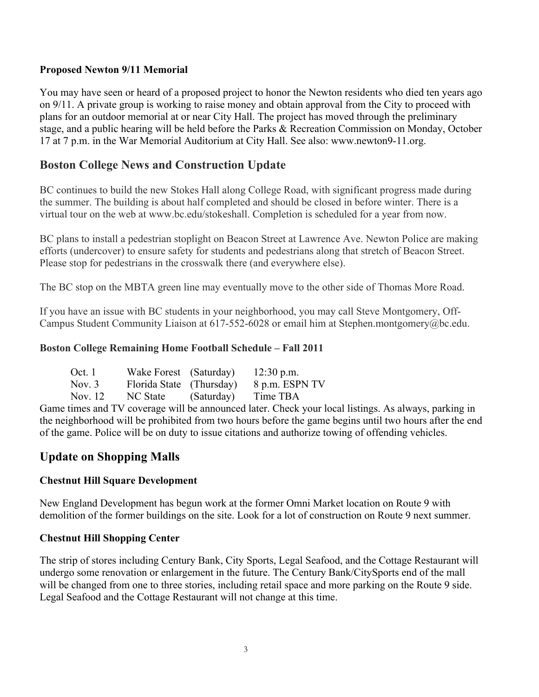### **Proposed Newton 9/11 Memorial**

You may have seen or heard of a proposed project to honor the Newton residents who died ten years ago on 9/11. A private group is working to raise money and obtain approval from the City to proceed with plans for an outdoor memorial at or near City Hall. The project has moved through the preliminary stage, and a public hearing will be held before the Parks & Recreation Commission on Monday, October 17 at 7 p.m. in the War Memorial Auditorium at City Hall. See also: www.newton9-11.org.

# **Boston College News and Construction Update**

BC continues to build the new Stokes Hall along College Road, with significant progress made during the summer. The building is about half completed and should be closed in before winter. There is a virtual tour on the web at www.bc.edu/stokeshall. Completion is scheduled for a year from now.

BC plans to install a pedestrian stoplight on Beacon Street at Lawrence Ave. Newton Police are making efforts (undercover) to ensure safety for students and pedestrians along that stretch of Beacon Street. Please stop for pedestrians in the crosswalk there (and everywhere else).

The BC stop on the MBTA green line may eventually move to the other side of Thomas More Road.

If you have an issue with BC students in your neighborhood, you may call Steve Montgomery, Off-Campus Student Community Liaison at 617-552-6028 or email him at Stephen.montgomery@bc.edu.

# **Boston College Remaining Home Football Schedule – Fall 2011**

| Oct. $1$ | Wake Forest (Saturday)   |            | $12:30$ p.m.   |
|----------|--------------------------|------------|----------------|
| Nov. $3$ | Florida State (Thursday) |            | 8 p.m. ESPN TV |
| Nov. 12  | NC State                 | (Saturday) | Time TBA       |

Game times and TV coverage will be announced later. Check your local listings. As always, parking in the neighborhood will be prohibited from two hours before the game begins until two hours after the end of the game. Police will be on duty to issue citations and authorize towing of offending vehicles.

# **Update on Shopping Malls**

# **Chestnut Hill Square Development**

New England Development has begun work at the former Omni Market location on Route 9 with demolition of the former buildings on the site. Look for a lot of construction on Route 9 next summer.

# **Chestnut Hill Shopping Center**

The strip of stores including Century Bank, City Sports, Legal Seafood, and the Cottage Restaurant will undergo some renovation or enlargement in the future. The Century Bank/CitySports end of the mall will be changed from one to three stories, including retail space and more parking on the Route 9 side. Legal Seafood and the Cottage Restaurant will not change at this time.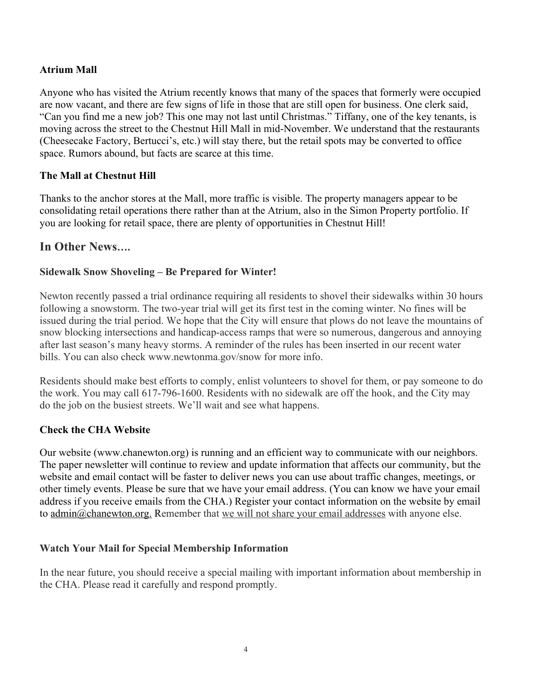### **Atrium Mall**

Anyone who has visited the Atrium recently knows that many of the spaces that formerly were occupied are now vacant, and there are few signs of life in those that are still open for business. One clerk said, "Can you find me a new job? This one may not last until Christmas." Tiffany, one of the key tenants, is moving across the street to the Chestnut Hill Mall in mid-November. We understand that the restaurants (Cheesecake Factory, Bertucci's, etc.) will stay there, but the retail spots may be converted to office space. Rumors abound, but facts are scarce at this time.

### **The Mall at Chestnut Hill**

Thanks to the anchor stores at the Mall, more traffic is visible. The property managers appear to be consolidating retail operations there rather than at the Atrium, also in the Simon Property portfolio. If you are looking for retail space, there are plenty of opportunities in Chestnut Hill!

# **In Other News….**

# **Sidewalk Snow Shoveling – Be Prepared for Winter!**

Newton recently passed a trial ordinance requiring all residents to shovel their sidewalks within 30 hours following a snowstorm. The two-year trial will get its first test in the coming winter. No fines will be issued during the trial period. We hope that the City will ensure that plows do not leave the mountains of snow blocking intersections and handicap-access ramps that were so numerous, dangerous and annoying after last season's many heavy storms. A reminder of the rules has been inserted in our recent water bills. You can also check www.newtonma.gov/snow for more info.

Residents should make best efforts to comply, enlist volunteers to shovel for them, or pay someone to do the work. You may call 617-796-1600. Residents with no sidewalk are off the hook, and the City may do the job on the busiest streets. We'll wait and see what happens.

### **Check the CHA Website**

Our website (www.chanewton.org) is running and an efficient way to communicate with our neighbors. The paper newsletter will continue to review and update information that affects our community, but the website and email contact will be faster to deliver news you can use about traffic changes, meetings, or other timely events. Please be sure that we have your email address. (You can know we have your email address if you receive emails from the CHA.) Register your contact information on the website by email to admin@chanewton.org. Remember that we will not share your email addresses with anyone else.

# **Watch Your Mail for Special Membership Information**

In the near future, you should receive a special mailing with important information about membership in the CHA. Please read it carefully and respond promptly.